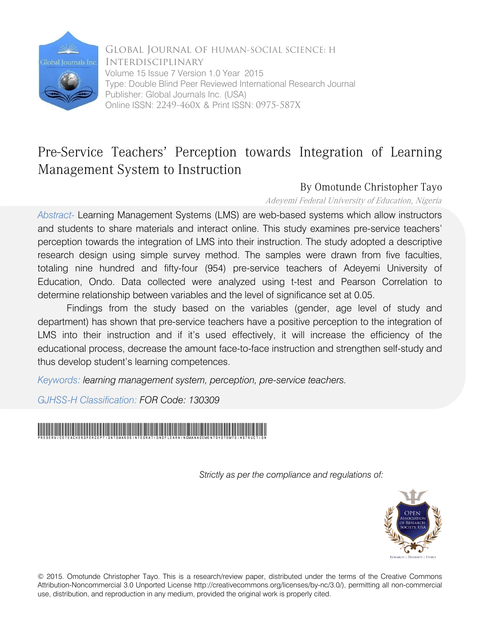

Global Journal of HUMAN-SOCIAL SCIENCE: H Interdisciplinary Volume 15 Issue 7 Version 1.0 Year 2015 Type: Double Blind Peer Reviewed International Research Journal Publisher: Global Journals Inc. (USA) Online ISSN: 2249-460x & Print ISSN: 0975-587X

## Pre-Service Teachers' Perception towards Integration of Learning Management System to Instruction

## By Omotunde Christopher Tayo

Adeyemi Federal University of Education, Nigeria

*Abstract-* Learning Management Systems (LMS) are web-based systems which allow instructors and students to share materials and interact online. This study examines pre-service teachers' perception towards the integration of LMS into their instruction. The study adopted a descriptive research design using simple survey method. The samples were drawn from five faculties, totaling nine hundred and fifty-four (954) pre-service teachers of Adeyemi University of Education, Ondo. Data collected were analyzed using t-test and Pearson Correlation to determine relationship between variables and the level of significance set at 0.05.

Findings from the study based on the variables (gender, age level of study and department) has shown that pre-service teachers have a positive perception to the integration of LMS into their instruction and if it's used effectively, it will increase the efficiency of the educational process, decrease the amount face-to-face instruction and strengthen self-study and thus develop student's learning competences.

*Keywords: learning management system, perception, pre-service teachers.*

*GJHSS-H Classification: FOR Code: 130309*



 *Strictly as per the compliance and regulations of:*



© 2015. Omotunde Christopher Tayo. This is a research/review paper, distributed under the terms of the Creative Commons Attribution-Noncommercial 3.0 Unported License http://creativecommons.org/licenses/by-nc/3.0/), permitting all non-commercial use, distribution, and reproduction in any medium, provided the original work is properly cited.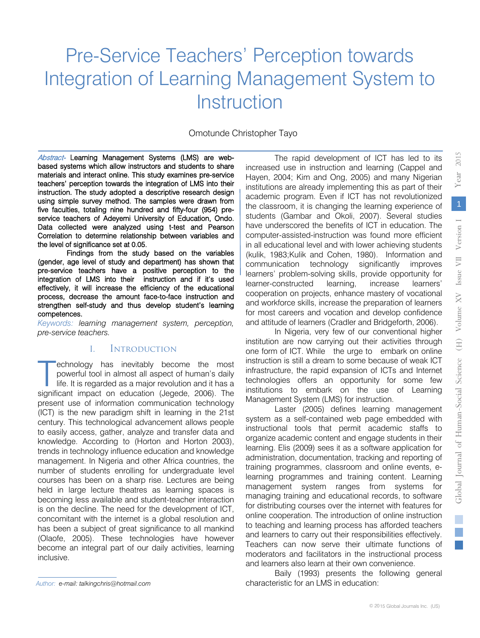2015

## Pre-Service Teachers' Perception towards Integration of Learning Management System to **Instruction**

#### Omotunde Christopher Tayo

Abstract- Learning Management Systems (LMS) are webbased systems which allow instructors and students to share materials and interact online. This study examines pre-service teachers' perception towards the integration of LMS into their instruction. The study adopted a descriptive research design using simple survey method. The samples were drawn from five faculties, totaling nine hundred and fifty-four (954) preservice teachers of Adeyemi University of Education, Ondo. Data collected were analyzed using t-test and Pearson Correlation to determine relationship between variables and the level of significance set at 0.05.

Findings from the study based on the variables (gender, age level of study and department) has shown that pre-service teachers have a positive perception to the integration of LMS into their instruction and if it's used effectively, it will increase the efficiency of the educational process, decrease the amount face-to-face instruction and strengthen self-study and thus develop student's learning competences.

Keywords: learning management system, perception, *pre-service teachers.* 

#### I. Introduction

echnology has inevitably become the most powerful tool in almost all aspect of human's daily life. It is regarded as a major revolution and it has a echnology has inevitably become the most powerful tool in almost all aspect of human's daily life. It is regarded as a major revolution and it has a significant impact on education (Jegede, 2006). The present use of information communication technology (ICT) is the new paradigm shift in learning in the 21st century. This technological advancement allows people to easily access, gather, analyze and transfer data and knowledge. According to (Horton and Horton 2003), trends in technology influence education and knowledge management. In Nigeria and other Africa countries, the number of students enrolling for undergraduate level courses has been on a sharp rise. Lectures are being held in large lecture theatres as learning spaces is becoming less available and student-teacher interaction is on the decline. The need for the development of ICT, concomitant with the internet is a global resolution and has been a subject of great significance to all mankind (Olaofe, 2005). These technologies have however become an integral part of our daily activities, learning inclusive.

The rapid development of ICT has led to its increased use in instruction and learning (Cappel and Hayen, 2004; Kim and Ong, 2005) and many Nigerian institutions are already implementing this as part of their academic program. Even if ICT has not revolutionized the classroom, it is changing the learning experience of students (Gambar and Okoli, 2007). Several studies have underscored the benefits of ICT in education. The computer-assisted-instruction was found more efficient in all educational level and with lower achieving students (kulik, 1983;Kulik and Cohen, 1980). Information and communication technology significantly improves learners' problem-solving skills, provide opportunity for learner-constructed learning, increase learners' cooperation on projects, enhance mastery of vocational and workforce skills, increase the preparation of learners for most careers and vocation and develop confidence and attitude of learners (Cradler and Bridgeforth, 2006).

In Nigeria, very few of our conventional higher institution are now carrying out their activities through one form of ICT. While the urge to embark on online instruction is still a dream to some because of weak ICT infrastructure, the rapid expansion of ICTs and Internet technologies offers an opportunity for some few institutions to embark on the use of Learning Management System (LMS) for instruction.

Laster (2005) defines learning management system as a self-contained web page embedded with instructional tools that permit academic staffs to organize academic content and engage students in their learning. Elis (2009) sees it as a software application for administration, documentation, tracking and reporting of training programmes, classroom and online events, elearning programmes and training content. Learning management system ranges from systems for managing training and educational records, to software for distributing courses over the internet with features for online cooperation. The introduction of online instruction to teaching and learning process has afforded teachers and learners to carry out their responsibilities effectively. Teachers can now serve their ultimate functions of moderators and facilitators in the instructional process and learners also learn at their own convenience.

*e-mail: talkingchris@hotmail.com Author:*

Baily (1993) presents the following general characteristic for an LMS in education: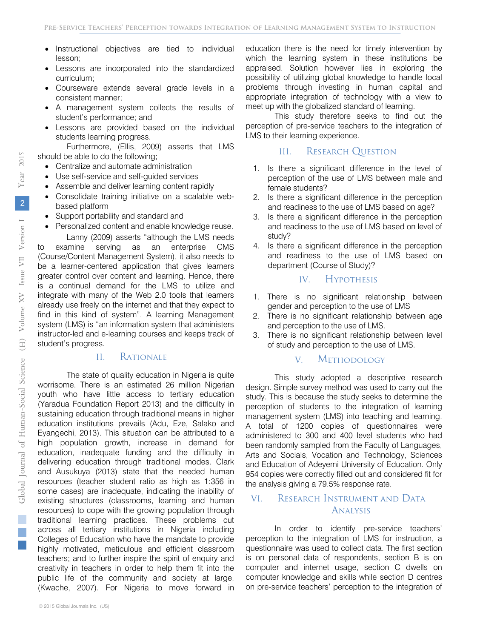- Instructional objectives are tied to individual lesson;
- Lessons are incorporated into the standardized curriculum;
- Courseware extends several grade levels in a consistent manner;
- A management system collects the results of student's performance; and
- Lessons are provided based on the individual students learning progress.

Furthermore, (Ellis, 2009) asserts that LMS should be able to do the following;

- Centralize and automate administration
- Use self-service and self-guided services
- Assemble and deliver learning content rapidly
- Consolidate training initiative on a scalable webbased platform
- Support portability and standard and
- Personalized content and enable knowledge reuse. Lanny (2009) asserts "although the LMS needs

to examine serving as an enterprise CMS (Course/Content Management System), it also needs to be a learner-centered application that gives learners greater control over content and learning. Hence, there is a continual demand for the LMS to utilize and integrate with many of the Web 2.0 tools that learners already use freely on the internet and that they expect to find in this kind of system". A learning Management system (LMS) is "an information system that administers instructor-led and e-learning courses and keeps track of student's progress.

#### II. Rationale

The state of quality education in Nigeria is quite worrisome. There is an estimated 26 million Nigerian youth who have little access to tertiary education (Yaradua Foundation Report 2013) and the difficulty in sustaining education through traditional means in higher education institutions prevails (Adu, Eze, Salako and Eyangechi, 2013). This situation can be attributed to a high population growth, increase in demand for education, inadequate funding and the difficulty in delivering education through traditional modes. Clark and Ausukuya (2013) state that the needed human resources (teacher student ratio as high as 1:356 in some cases) are inadequate, indicating the inability of existing structures (classrooms, learning and human resources) to cope with the growing population through traditional learning practices. These problems cut across all tertiary institutions in Nigeria including Colleges of Education who have the mandate to provide highly motivated, meticulous and efficient classroom teachers; and to further inspire the spirit of enquiry and creativity in teachers in order to help them fit into the public life of the community and society at large. (Kwache, 2007). For Nigeria to move forward in

© 2015 Global Journals Inc. (US)

education there is the need for timely intervention by which the learning system in these institutions be appraised. Solution however lies in exploring the possibility of utilizing global knowledge to handle local problems through investing in human capital and appropriate integration of technology with a view to meet up with the globalized standard of learning.

This study therefore seeks to find out the perception of pre-service teachers to the integration of LMS to their learning experience.

#### III. RESEARCH QUESTION

- 1. Is there a significant difference in the level of perception of the use of LMS between male and female students?
- 2. Is there a significant difference in the perception and readiness to the use of LMS based on age?
- 3. Is there a significant difference in the perception and readiness to the use of LMS based on level of study?
- 4. Is there a significant difference in the perception and readiness to the use of LMS based on department (Course of Study)?

#### IV. Hypothesis

- 1. There is no significant relationship between gender and perception to the use of LMS
- 2. There is no significant relationship between age and perception to the use of LMS.
- 3. There is no significant relationship between level of study and perception to the use of LMS.

#### V. Methodology

This study adopted a descriptive research design. Simple survey method was used to carry out the study. This is because the study seeks to determine the perception of students to the integration of learning management system (LMS) into teaching and learning. A total of 1200 copies of questionnaires were administered to 300 and 400 level students who had been randomly sampled from the Faculty of Languages, Arts and Socials, Vocation and Technology, Sciences and Education of Adeyemi University of Education. Only 954 copies were correctly filled out and considered fit for the analysis giving a 79.5% response rate.

### VI. RESEARCH INSTRUMENT AND DATA Analysis

In order to identify pre-service teachers' perception to the integration of LMS for instruction, a questionnaire was used to collect data. The first section is on personal data of respondents, section B is on computer and internet usage, section C dwells on computer knowledge and skills while section D centres on pre-service teachers' perception to the integration of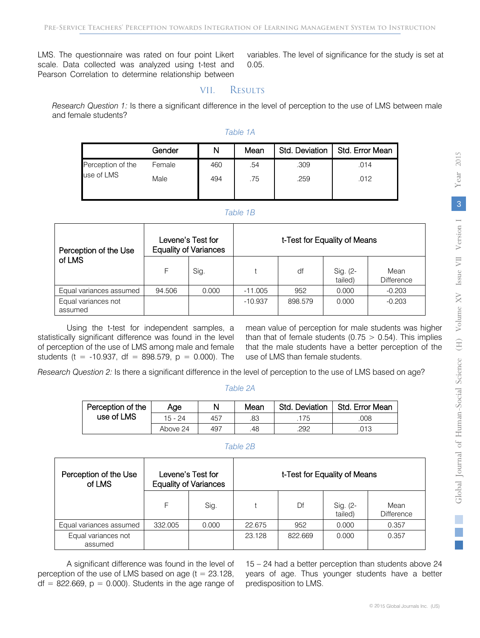#### LMS. The questionnaire was rated on four point Likert scale. Data collected was analyzed using t-test and Pearson Correlation to determine relationship between

variables. The level of significance for the study is set at 0.05.

#### VII. Results

*Research Question 1:* Is there a significant difference in the level of perception to the use of LMS between male and female students?

#### *Table 1A*

|                   | Gender | N   | Mean | Std. Deviation | Std. Error Mean |
|-------------------|--------|-----|------|----------------|-----------------|
| Perception of the | Female | 460 | .54  | .309           | .014            |
| use of LMS        | Male   | 494 | .75  | .259           | .012            |
|                   |        |     |      |                |                 |

#### *Table 1B*

| Perception of the Use          | Levene's Test for<br><b>Equality of Variances</b> |       | t-Test for Equality of Means |         |                     |                           |
|--------------------------------|---------------------------------------------------|-------|------------------------------|---------|---------------------|---------------------------|
| of LMS                         | F                                                 | Sig.  |                              | df      | Sig. (2-<br>tailed) | Mean<br><b>Difference</b> |
| Equal variances assumed        | 94.506                                            | 0.000 | $-11.005$                    | 952     | 0.000               | $-0.203$                  |
| Equal variances not<br>assumed |                                                   |       | $-10.937$                    | 898.579 | 0.000               | $-0.203$                  |

Using the t-test for independent samples, a statistically significant difference was found in the level of perception of the use of LMS among male and female students (t = -10.937, df = 898.579,  $p = 0.000$ ). The

mean value of perception for male students was higher than that of female students ( $0.75 > 0.54$ ). This implies that the male students have a better perception of the use of LMS than female students.

*Research Question 2:* Is there a significant difference in the level of perception to the use of LMS based on age?

#### *Table 2A*

| Perception of the | Age       | N   | Mean | Std. Deviation | Std. Error Mean |
|-------------------|-----------|-----|------|----------------|-----------------|
| use of LMS        | $15 - 24$ | 457 | 83   | 175            | 008             |
|                   | Above 24  | 497 | 48   | 292            | 013             |

#### *Table 2B*

| Perception of the Use<br>of LMS | Levene's Test for<br><b>Equality of Variances</b> |       | t-Test for Equality of Means |         |                     |                           |
|---------------------------------|---------------------------------------------------|-------|------------------------------|---------|---------------------|---------------------------|
|                                 | F                                                 | Sig.  |                              | Df      | Sig. (2-<br>tailed) | Mean<br><b>Difference</b> |
| Equal variances assumed         | 332.005                                           | 0.000 | 22.675                       | 952     | 0.000               | 0.357                     |
| Equal variances not<br>assumed  |                                                   |       | 23.128                       | 822.669 | 0.000               | 0.357                     |

A significant difference was found in the level of perception of the use of LMS based on age  $(t = 23.128$ ,  $df = 822.669$ ,  $p = 0.000$ . Students in the age range of

15 – 24 had a better perception than students above 24 years of age. Thus younger students have a better predisposition to LMS.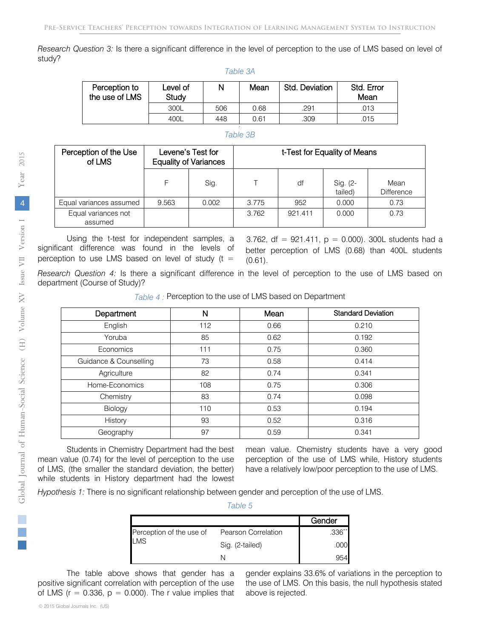*Research Question 3:* Is there a significant difference in the level of perception to the use of LMS based on level of study?

*Table 3A*

| Perception to<br>the use of LMS | Level of<br>Study | N   | Mean | Std. Deviation | Std. Error<br>Mean |
|---------------------------------|-------------------|-----|------|----------------|--------------------|
|                                 | 300L              | 506 | 0.68 | .291           | .013               |
|                                 | 400L              | 448 | 0.61 | .309           | 015                |

#### *Table 3B*

| Perception of the Use<br>of LMS | Levene's Test for<br><b>Equality of Variances</b> |       | t-Test for Equality of Means |         |                     |                           |
|---------------------------------|---------------------------------------------------|-------|------------------------------|---------|---------------------|---------------------------|
|                                 | F                                                 | Sig.  |                              | df      | Sig. (2-<br>tailed) | Mean<br><b>Difference</b> |
| Equal variances assumed         | 9.563                                             | 0.002 | 3.775                        | 952     | 0.000               | 0.73                      |
| Equal variances not<br>assumed  |                                                   |       | 3.762                        | 921.411 | 0.000               | 0.73                      |

Using the t-test for independent samples, a significant difference was found in the levels of perception to use LMS based on level of study  $(t =$ 

better perception of LMS (0.68) than 400L students (0.61). 3.762, df =  $921.411$ , p = 0.000). 300L students had a

*Research Question 4:* Is there a significant difference in the level of perception to the use of LMS based on department (Course of Study)?

| Department             | N   | Mean | <b>Standard Deviation</b> |
|------------------------|-----|------|---------------------------|
| English                | 112 | 0.66 | 0.210                     |
| Yoruba                 | 85  | 0.62 | 0.192                     |
| Economics              | 111 | 0.75 | 0.360                     |
| Guidance & Counselling | 73  | 0.58 | 0.414                     |
| Agriculture            | 82  | 0.74 | 0.341                     |
| Home-Economics         | 108 | 0.75 | 0.306                     |
| Chemistry              | 83  | 0.74 | 0.098                     |
| Biology                | 110 | 0.53 | 0.194                     |
| History                | 93  | 0.52 | 0.316                     |
| Geography              | 97  | 0.59 | 0.341                     |

Students in Chemistry Department had the best mean value (0.74) for the level of perception to the use of LMS, (the smaller the standard deviation, the better) while students in History department had the lowest

mean value. Chemistry students have a very good perception of the use of LMS while, History students have a relatively low/poor perception to the use of LMS.

*Hypothesis 1:* There is no significant relationship between gender and perception of the use of LMS.

*Table 5*

|                          |                            | Gender   |
|--------------------------|----------------------------|----------|
| Perception of the use of | <b>Pearson Correlation</b> | $.336**$ |
| <b>LMS</b>               | Sig. (2-tailed)            | .000     |
|                          |                            |          |

The table above shows that gender has a positive significant correlation with perception of the use of LMS ( $r = 0.336$ ,  $p = 0.000$ ). The r value implies that

gender explains 33.6% of variations in the perception to the use of LMS. On this basis, the null hypothesis stated above is rejected.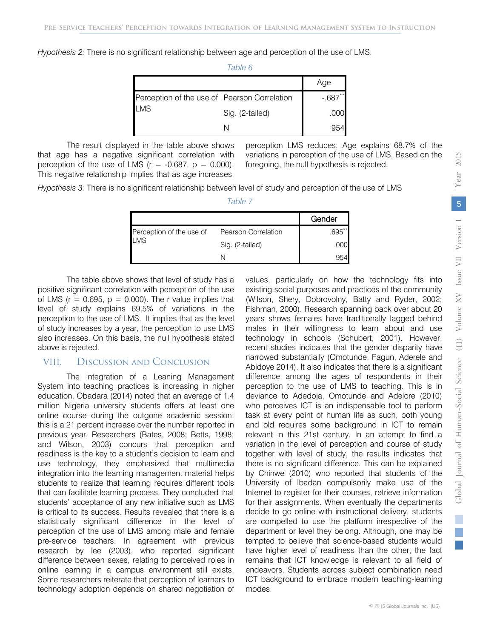*Hypothesis 2:* There is no significant relationship between age and perception of the use of LMS.

|                                              | Table 6         |         |
|----------------------------------------------|-----------------|---------|
|                                              |                 | Age     |
| Perception of the use of Pearson Correlation |                 | $-.687$ |
| <b>LMS</b>                                   | Sig. (2-tailed) | .000    |
|                                              |                 |         |

The result displayed in the table above shows that age has a negative significant correlation with perception of the use of LMS ( $r = -0.687$ ,  $p = 0.000$ ). This negative relationship implies that as age increases, perception LMS reduces. Age explains 68.7% of the variations in perception of the use of LMS. Based on the foregoing, the null hypothesis is rejected.

*Hypothesis 3:* There is no significant relationship between level of study and perception of the use of LMS

|                          |                            | Gender    |
|--------------------------|----------------------------|-----------|
| Perception of the use of | <b>Pearson Correlation</b> | $.695***$ |
| LMS                      | Sig. (2-tailed)            | .000      |
|                          |                            |           |

*Table 7*

The table above shows that level of study has a positive significant correlation with perception of the use of LMS ( $r = 0.695$ ,  $p = 0.000$ ). The r value implies that level of study explains 69.5% of variations in the perception to the use of LMS. It implies that as the level of study increases by a year, the perception to use LMS also increases. On this basis, the null hypothesis stated above is rejected.

#### VIII. Discussion and Conclusion

The integration of a Leaning Management System into teaching practices is increasing in higher education. Obadara (2014) noted that an average of 1.4 million Nigeria university students offers at least one online course during the outgone academic session; this is a 21 percent increase over the number reported in previous year. Researchers (Bates, 2008; Betts, 1998; and Wilson, 2003) concurs that perception and readiness is the key to a student's decision to learn and use technology, they emphasized that multimedia integration into the learning management material helps students to realize that learning requires different tools that can facilitate learning process. They concluded that students' acceptance of any new initiative such as LMS is critical to its success. Results revealed that there is a statistically significant difference in the level of perception of the use of LMS among male and female pre-service teachers. In agreement with previous research by lee (2003), who reported significant difference between sexes, relating to perceived roles in online learning in a campus environment still exists. Some researchers reiterate that perception of learners to technology adoption depends on shared negotiation of existing social purposes and practices of the community (Wilson, Shery, Dobrovolny, Batty and Ryder, 2002; Fishman, 2000). Research spanning back over about 20 years shows females have traditionally lagged behind males in their willingness to learn about and use technology in schools (Schubert, 2001). However, recent studies indicates that the gender disparity have narrowed substantially (Omotunde, Fagun, Aderele and Abidoye 2014). It also indicates that there is a significant difference among the ages of respondents in their perception to the use of LMS to teaching. This is in deviance to Adedoja, Omotunde and Adelore (2010) who perceives ICT is an indispensable tool to perform task at every point of human life as such, both young and old requires some background in ICT to remain relevant in this 21st century. In an attempt to find a variation in the level of perception and course of study together with level of study, the results indicates that there is no significant difference. This can be explained by Chinwe (2010) who reported that students of the University of Ibadan compulsorily make use of the Internet to register for their courses, retrieve information for their assignments. When eventually the departments decide to go online with instructional delivery, students are compelled to use the platform irrespective of the department or level they belong. Although, one may be tempted to believe that science-based students would have higher level of readiness than the other, the fact remains that ICT knowledge is relevant to all field of endeavors. Students across subject combination need ICT background to embrace modern teaching-learning modes. values, particularly on how the technology fits into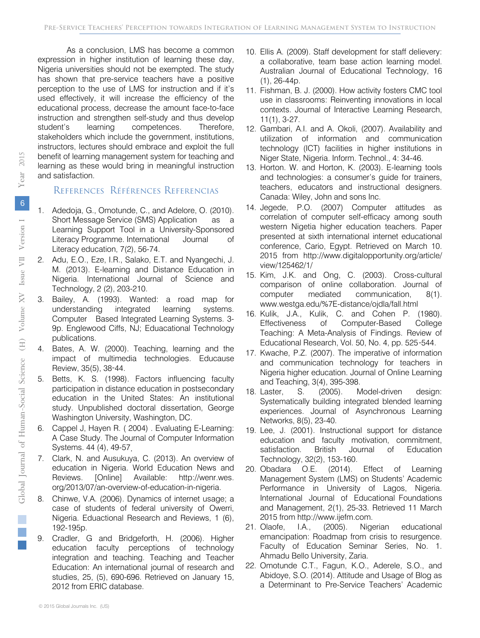As a conclusion, LMS has become a common expression in higher institution of learning these day, Nigeria universities should not be exempted. The study has shown that pre-service teachers have a positive perception to the use of LMS for instruction and if it's used effectively, it will increase the efficiency of the educational process, decrease the amount face-to-face instruction and strengthen self-study and thus develop student's learning competences. Therefore, stakeholders which include the government, institutions, instructors, lectures should embrace and exploit the full benefit of learning management system for teaching and learning as these would bring in meaningful instruction and satisfaction.

### References Références Referencias

- 1. Adedoja, G., Omotunde, C., and Adelore, O. (2010). Short Message Service (SMS) Application as a Learning Support Tool in a University-Sponsored Literacy Programme. International Journal of Literacy education, 7(2), 56-74.
- 2. Adu, E.O., Eze, I.R., Salako, E.T. and Nyangechi, J. M. (2013). E-learning and Distance Education in Nigeria. International Journal of Science and Technology, 2 (2), 203-210.
- 3. Bailey, A. (1993). Wanted: a road map for understanding integrated learning systems. Computer Based Integrated Learning Systems. 3- 9p. Englewood Ciffs, NJ; Eduacational Technology publications.
- 4. Bates, A. W. (2000). Teaching, learning and the impact of multimedia technologies. Educause Review, 35(5), 38-44.
- 5. Betts, K. S. (1998). Factors influencing faculty participation in distance education in postsecondary education in the United States: An institutional study. Unpublished doctoral dissertation, George Washington University, Washington, DC.
- 6. Cappel J, Hayen R. ( 2004) . Evaluating E-Learning: A Case Study. The Journal of Computer Information Systems. 44 (4), 49-57. .
- 7. Clark, N. and Ausukuya, C. (2013). An overview of education in Nigeria. World Education News and Reviews. [Online] Available: http://wenr.wes. org/2013/07/an-overview-of-education-in-nigeria.
- 8. Chinwe, V.A. (2006). Dynamics of internet usage; a case of students of federal university of Owerri, Nigeria. Eduactional Research and Reviews, 1 (6), 192-195p.
- 9. Cradler, G and Bridgeforth, H. (2006). Higher education faculty perceptions of technology integration and teaching. Teaching and Teacher Education: An international journal of research and studies, 25, (5), 690-696. Retrieved on January 15, 2012 from ERIC database.
- Australian Journal of Educational Technology, 16 (1), 26-44p. 10. Ellis A. (2009). Staff development for staff delievery: a collaborative, team base action learning model.
- 11. Fishman, B. J. (2000). How activity fosters CMC tool use in classrooms: Reinventing innovations in local contexts. Journal of Interactive Learning Research, 11(1), 3-27.
- 12. Gambari, A.I. and A. Okoli, (2007). Availability and utilization of information and communication technology (ICT) facilities in higher institutions in Niger State, Nigeria. Inform. Technol., 4: 34-46.
- 13. Horton. W. and Horton, K. (2003). E-learning tools and technologies: a consumer's guide for trainers, teachers, educators and instructional designers. Canada: Wiley, John and sons Inc.
- 14. Jegede, P.O. (2007) Computer attitudes as correlation of computer self-efficacy among south western Nigetia higher education teachers. Paper presented at sixth international internet educational conference, Cario, Egypt. Retrieved on March 10. 2015 from http://www.digitalopportunity.org/article/ view/125462/1/
- 15. Kim, J.K. and Ong, C. (2003). Cross-cultural comparison of online collaboration. Journal of computer mediated communication, 8(1). www.westga.edu/%7E-distance/ojdla/fall.html
- 16. Kulik, J.A., Kulik, C. and Cohen P. (1980). Effectiveness of Computer-Based College Teaching: A Meta-Analysis of Findings. Review of Educational Research, Vol. 50, No. 4, pp. 525-544.
- 17. Kwache, P.Z. (2007). The imperative of information and communication technology for teachers in Nigeria higher education. Journal of Online Learning and Teaching, 3(4), 395-398.
- 18. Laster, S. (2005). Model-driven design: Systematically building integrated blended learning experiences. Journal of Asynchronous Learning Networks, 8(5), 23-40.
- 19. Lee, J. (2001). Instructional support for distance education and faculty motivation, commitment, satisfaction. British Journal of Education Technology, 32(2), 153-160.
- 20. Obadara O.E. (2014). Effect of Learning Management System (LMS) on Students' Academic Performance in University of Lagos, Nigeria. International Journal of Educational Foundations and Management, 2(1), 25-33. Retrieved 11 March 2015 from http://www.ijefm.com.
- 21. Olaofe, I.A., (2005). Nigerian educational emancipation: Roadmap from crisis to resurgence. Faculty of Education Seminar Series, No. 1. Ahmadu Bello University, Zaria.
- 22. Omotunde C.T., Fagun, K.O., Aderele, S.O., and Abidoye, S.O. (2014). Attitude and Usage of Blog as a Determinant to Pre-Service Teachers' Academic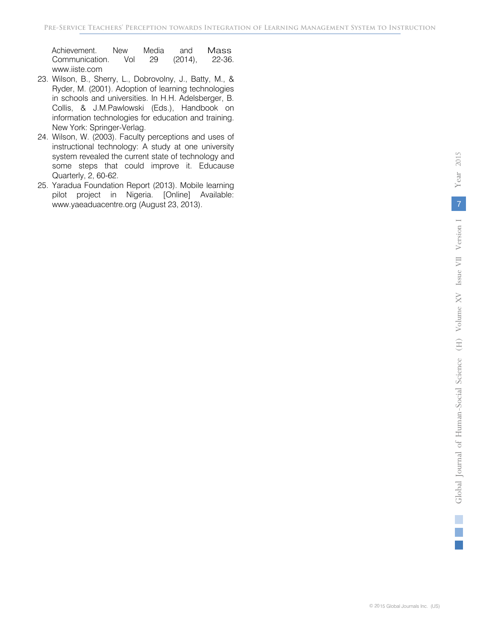Communication. Vol 29 (2014), 22-36. www.iiste.com Achievement. New Media and Mass

- 23. Wilson, B., Sherry, L., Dobrovolny, J., Batty, M., & Ryder, M. (2001). Adoption of learning technologies in schools and universities. In H.H. Adelsberger, B. Collis, & J.M.Pawlowski (Eds.), Handbook on information technologies for education and training. New York: Springer-Verlag.
- 24. Wilson, W. (2003). Faculty perceptions and uses of instructional technology: A study at one university system revealed the current state of technology and some steps that could improve it. Educause Quarterly, 2, 60-62.
- 25. Yaradua Foundation Report (2013). Mobile learning pilot project in Nigeria. [Online] Available: www.yaeaduacentre.org (August 23, 2013).